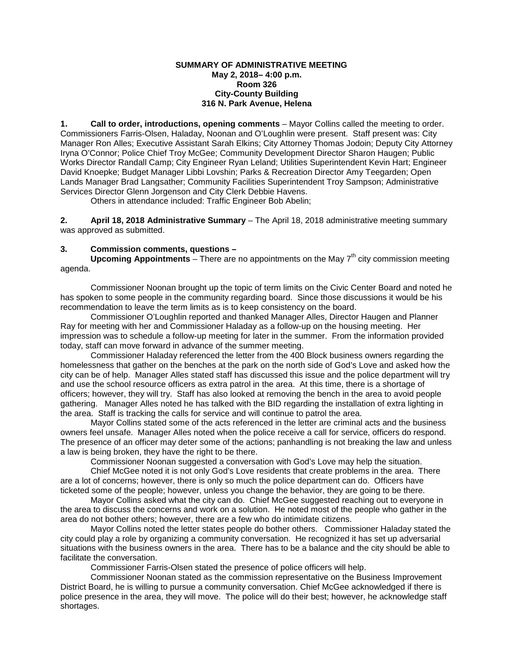### **SUMMARY OF ADMINISTRATIVE MEETING May 2, 2018– 4:00 p.m. Room 326 City-County Building 316 N. Park Avenue, Helena**

**1. Call to order, introductions, opening comments** – Mayor Collins called the meeting to order. Commissioners Farris-Olsen, Haladay, Noonan and O'Loughlin were present. Staff present was: City Manager Ron Alles; Executive Assistant Sarah Elkins; City Attorney Thomas Jodoin; Deputy City Attorney Iryna O'Connor; Police Chief Troy McGee; Community Development Director Sharon Haugen; Public Works Director Randall Camp; City Engineer Ryan Leland; Utilities Superintendent Kevin Hart; Engineer David Knoepke; Budget Manager Libbi Lovshin; Parks & Recreation Director Amy Teegarden; Open Lands Manager Brad Langsather; Community Facilities Superintendent Troy Sampson; Administrative Services Director Glenn Jorgenson and City Clerk Debbie Havens.

Others in attendance included: Traffic Engineer Bob Abelin;

**2. April 18, 2018 Administrative Summary** – The April 18, 2018 administrative meeting summary was approved as submitted.

### **3. Commission comments, questions –**

**Upcoming Appointments** – There are no appointments on the May 7<sup>th</sup> city commission meeting agenda.

Commissioner Noonan brought up the topic of term limits on the Civic Center Board and noted he has spoken to some people in the community regarding board. Since those discussions it would be his recommendation to leave the term limits as is to keep consistency on the board.

Commissioner O'Loughlin reported and thanked Manager Alles, Director Haugen and Planner Ray for meeting with her and Commissioner Haladay as a follow-up on the housing meeting. Her impression was to schedule a follow-up meeting for later in the summer. From the information provided today, staff can move forward in advance of the summer meeting.

Commissioner Haladay referenced the letter from the 400 Block business owners regarding the homelessness that gather on the benches at the park on the north side of God's Love and asked how the city can be of help. Manager Alles stated staff has discussed this issue and the police department will try and use the school resource officers as extra patrol in the area. At this time, there is a shortage of officers; however, they will try. Staff has also looked at removing the bench in the area to avoid people gathering. Manager Alles noted he has talked with the BID regarding the installation of extra lighting in the area. Staff is tracking the calls for service and will continue to patrol the area.

Mayor Collins stated some of the acts referenced in the letter are criminal acts and the business owners feel unsafe. Manager Alles noted when the police receive a call for service, officers do respond. The presence of an officer may deter some of the actions; panhandling is not breaking the law and unless a law is being broken, they have the right to be there.

Commissioner Noonan suggested a conversation with God's Love may help the situation.

Chief McGee noted it is not only God's Love residents that create problems in the area. There are a lot of concerns; however, there is only so much the police department can do. Officers have ticketed some of the people; however, unless you change the behavior, they are going to be there.

Mayor Collins asked what the city can do. Chief McGee suggested reaching out to everyone in the area to discuss the concerns and work on a solution. He noted most of the people who gather in the area do not bother others; however, there are a few who do intimidate citizens.

Mayor Collins noted the letter states people do bother others. Commissioner Haladay stated the city could play a role by organizing a community conversation. He recognized it has set up adversarial situations with the business owners in the area. There has to be a balance and the city should be able to facilitate the conversation.

Commissioner Farris-Olsen stated the presence of police officers will help.

Commissioner Noonan stated as the commission representative on the Business Improvement District Board, he is willing to pursue a community conversation. Chief McGee acknowledged if there is police presence in the area, they will move. The police will do their best; however, he acknowledge staff shortages.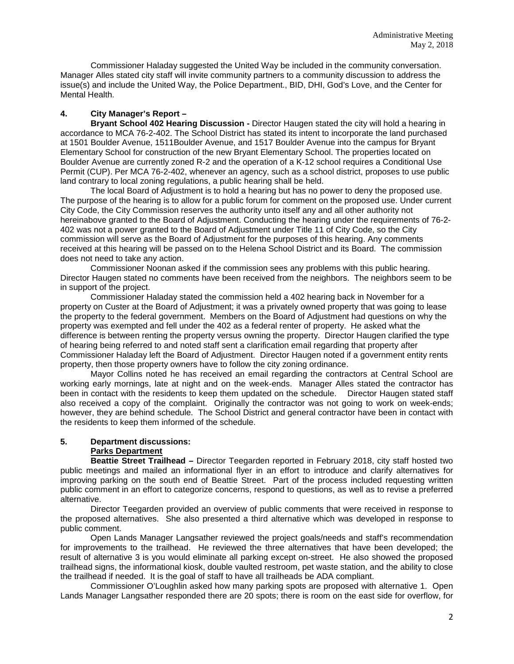Commissioner Haladay suggested the United Way be included in the community conversation. Manager Alles stated city staff will invite community partners to a community discussion to address the issue(s) and include the United Way, the Police Department., BID, DHI, God's Love, and the Center for Mental Health.

# **4. City Manager's Report –**

**Bryant School 402 Hearing Discussion -** Director Haugen stated the city will hold a hearing in accordance to MCA 76-2-402. The School District has stated its intent to incorporate the land purchased at 1501 Boulder Avenue, 1511Boulder Avenue, and 1517 Boulder Avenue into the campus for Bryant Elementary School for construction of the new Bryant Elementary School. The properties located on Boulder Avenue are currently zoned R-2 and the operation of a K-12 school requires a Conditional Use Permit (CUP). Per MCA 76-2-402, whenever an agency, such as a school district, proposes to use public land contrary to local zoning regulations, a public hearing shall be held.

The local Board of Adjustment is to hold a hearing but has no power to deny the proposed use. The purpose of the hearing is to allow for a public forum for comment on the proposed use. Under current City Code, the City Commission reserves the authority unto itself any and all other authority not hereinabove granted to the Board of Adjustment. Conducting the hearing under the requirements of 76-2- 402 was not a power granted to the Board of Adjustment under Title 11 of City Code, so the City commission will serve as the Board of Adjustment for the purposes of this hearing. Any comments received at this hearing will be passed on to the Helena School District and its Board. The commission does not need to take any action.

Commissioner Noonan asked if the commission sees any problems with this public hearing. Director Haugen stated no comments have been received from the neighbors. The neighbors seem to be in support of the project.

Commissioner Haladay stated the commission held a 402 hearing back in November for a property on Custer at the Board of Adjustment; it was a privately owned property that was going to lease the property to the federal government. Members on the Board of Adjustment had questions on why the property was exempted and fell under the 402 as a federal renter of property. He asked what the difference is between renting the property versus owning the property. Director Haugen clarified the type of hearing being referred to and noted staff sent a clarification email regarding that property after Commissioner Haladay left the Board of Adjustment. Director Haugen noted if a government entity rents property, then those property owners have to follow the city zoning ordinance.

Mayor Collins noted he has received an email regarding the contractors at Central School are working early mornings, late at night and on the week-ends. Manager Alles stated the contractor has been in contact with the residents to keep them updated on the schedule. Director Haugen stated staff also received a copy of the complaint. Originally the contractor was not going to work on week-ends; however, they are behind schedule. The School District and general contractor have been in contact with the residents to keep them informed of the schedule.

# **5. Department discussions: Parks Department**

**Beattie Street Trailhead –** Director Teegarden reported in February 2018, city staff hosted two public meetings and mailed an informational flyer in an effort to introduce and clarify alternatives for improving parking on the south end of Beattie Street. Part of the process included requesting written public comment in an effort to categorize concerns, respond to questions, as well as to revise a preferred alternative.

Director Teegarden provided an overview of public comments that were received in response to the proposed alternatives. She also presented a third alternative which was developed in response to public comment.

Open Lands Manager Langsather reviewed the project goals/needs and staff's recommendation for improvements to the trailhead. He reviewed the three alternatives that have been developed; the result of alternative 3 is you would eliminate all parking except on-street. He also showed the proposed trailhead signs, the informational kiosk, double vaulted restroom, pet waste station, and the ability to close the trailhead if needed. It is the goal of staff to have all trailheads be ADA compliant.

Commissioner O'Loughlin asked how many parking spots are proposed with alternative 1. Open Lands Manager Langsather responded there are 20 spots; there is room on the east side for overflow, for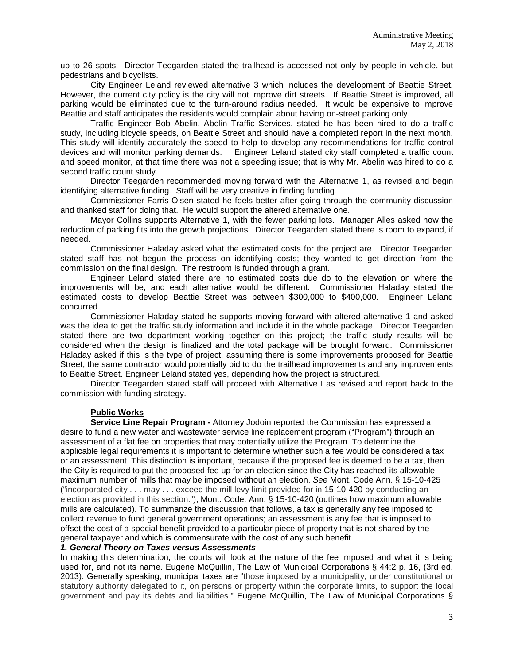up to 26 spots. Director Teegarden stated the trailhead is accessed not only by people in vehicle, but pedestrians and bicyclists.

City Engineer Leland reviewed alternative 3 which includes the development of Beattie Street. However, the current city policy is the city will not improve dirt streets. If Beattie Street is improved, all parking would be eliminated due to the turn-around radius needed. It would be expensive to improve Beattie and staff anticipates the residents would complain about having on-street parking only.

Traffic Engineer Bob Abelin, Abelin Traffic Services, stated he has been hired to do a traffic study, including bicycle speeds, on Beattie Street and should have a completed report in the next month. This study will identify accurately the speed to help to develop any recommendations for traffic control devices and will monitor parking demands. Engineer Leland stated city staff completed a traffic count and speed monitor, at that time there was not a speeding issue; that is why Mr. Abelin was hired to do a second traffic count study.

Director Teegarden recommended moving forward with the Alternative 1, as revised and begin identifying alternative funding. Staff will be very creative in finding funding.

Commissioner Farris-Olsen stated he feels better after going through the community discussion and thanked staff for doing that. He would support the altered alternative one.

Mayor Collins supports Alternative 1, with the fewer parking lots. Manager Alles asked how the reduction of parking fits into the growth projections. Director Teegarden stated there is room to expand, if needed.

Commissioner Haladay asked what the estimated costs for the project are. Director Teegarden stated staff has not begun the process on identifying costs; they wanted to get direction from the commission on the final design. The restroom is funded through a grant.

Engineer Leland stated there are no estimated costs due do to the elevation on where the improvements will be, and each alternative would be different. Commissioner Haladay stated the estimated costs to develop Beattie Street was between \$300,000 to \$400,000. Engineer Leland concurred.

Commissioner Haladay stated he supports moving forward with altered alternative 1 and asked was the idea to get the traffic study information and include it in the whole package. Director Teegarden stated there are two department working together on this project; the traffic study results will be considered when the design is finalized and the total package will be brought forward. Commissioner Haladay asked if this is the type of project, assuming there is some improvements proposed for Beattie Street, the same contractor would potentially bid to do the trailhead improvements and any improvements to Beattie Street. Engineer Leland stated yes, depending how the project is structured.

Director Teegarden stated staff will proceed with Alternative I as revised and report back to the commission with funding strategy.

# **Public Works**

**Service Line Repair Program -** Attorney Jodoin reported the Commission has expressed a desire to fund a new water and wastewater service line replacement program ("Program") through an assessment of a flat fee on properties that may potentially utilize the Program. To determine the applicable legal requirements it is important to determine whether such a fee would be considered a tax or an assessment. This distinction is important, because if the proposed fee is deemed to be a tax, then the City is required to put the proposed fee up for an election since the City has reached its allowable maximum number of mills that may be imposed without an election. *See* Mont. Code Ann. § 15-10-425 ("incorporated city . . . may . . . exceed the mill levy limit provided for in [15-10-420](http://leg.mt.gov/bills/mca/title_0150/chapter_0100/part_0040/section_0200/0150-0100-0040-0200.html) by conducting an election as provided in this section."); Mont. Code. Ann. § 15-10-420 (outlines how maximum allowable mills are calculated). To summarize the discussion that follows, a tax is generally any fee imposed to collect revenue to fund general government operations; an assessment is any fee that is imposed to offset the cost of a special benefit provided to a particular piece of property that is not shared by the general taxpayer and which is commensurate with the cost of any such benefit.

#### *1. General Theory on Taxes versus Assessments*

In making this determination, the courts will look at the nature of the fee imposed and what it is being used for, and not its name. Eugene McQuillin, The Law of Municipal Corporations § 44:2 p. 16, (3rd ed. 2013). Generally speaking, municipal taxes are "those imposed by a municipality, under constitutional or statutory authority delegated to it, on persons or property within the corporate limits, to support the local government and pay its debts and liabilities." Eugene McQuillin, The Law of Municipal Corporations §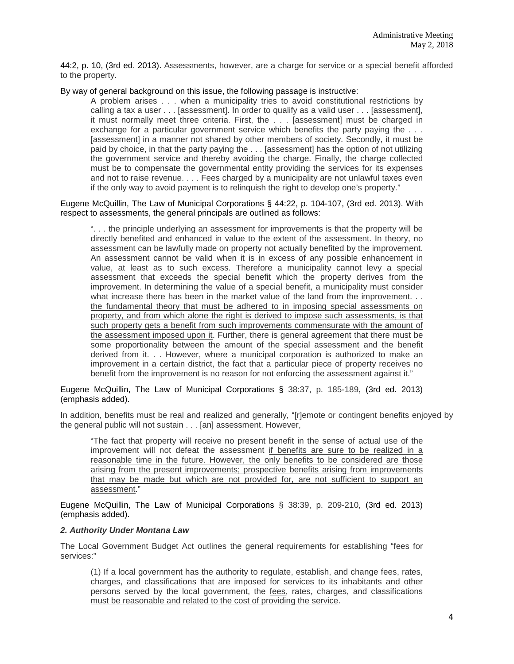44:2, p. 10, (3rd ed. 2013). Assessments, however, are a charge for service or a special benefit afforded to the property.

By way of general background on this issue, the following passage is instructive:

A problem arises . . . when a municipality tries to avoid constitutional restrictions by calling a tax a user . . . [assessment]. In order to qualify as a valid user . . . [assessment], it must normally meet three criteria. First, the . . . [assessment] must be charged in exchange for a particular government service which benefits the party paying the . . . [assessment] in a manner not shared by other members of society. Secondly, it must be paid by choice, in that the party paying the . . . [assessment] has the option of not utilizing the government service and thereby avoiding the charge. Finally, the charge collected must be to compensate the governmental entity providing the services for its expenses and not to raise revenue. . . . Fees charged by a municipality are not unlawful taxes even if the only way to avoid payment is to relinquish the right to develop one's property."

Eugene McQuillin, The Law of Municipal Corporations § 44:22, p. 104-107, (3rd ed. 2013). With respect to assessments, the general principals are outlined as follows:

". . . the principle underlying an assessment for improvements is that the property will be directly benefited and enhanced in value to the extent of the assessment. In theory, no assessment can be lawfully made on property not actually benefited by the improvement. An assessment cannot be valid when it is in excess of any possible enhancement in value, at least as to such excess. Therefore a municipality cannot levy a special assessment that exceeds the special benefit which the property derives from the improvement. In determining the value of a special benefit, a municipality must consider what increase there has been in the market value of the land from the improvement... the fundamental theory that must be adhered to in imposing special assessments on property, and from which alone the right is derived to impose such assessments, is that such property gets a benefit from such improvements commensurate with the amount of the assessment imposed upon it. Further, there is general agreement that there must be some proportionality between the amount of the special assessment and the benefit derived from it. . . However, where a municipal corporation is authorized to make an improvement in a certain district, the fact that a particular piece of property receives no benefit from the improvement is no reason for not enforcing the assessment against it."

Eugene McQuillin, The Law of Municipal Corporations § 38:37, p. 185-189, (3rd ed. 2013) (emphasis added).

In addition, benefits must be real and realized and generally, "[r]emote or contingent benefits enjoyed by the general public will not sustain . . . [an] assessment. However,

"The fact that property will receive no present benefit in the sense of actual use of the improvement will not defeat the assessment if benefits are sure to be realized in a reasonable time in the future. However, the only benefits to be considered are those arising from the present improvements; prospective benefits arising from improvements that may be made but which are not provided for, are not sufficient to support an assessment."

Eugene McQuillin, The Law of Municipal Corporations § 38:39, p. 209-210, (3rd ed. 2013) (emphasis added).

## *2. Authority Under Montana Law*

The Local Government Budget Act outlines the general requirements for establishing "fees for services:"

(1) If a local government has the authority to regulate, establish, and change fees, rates, charges, and classifications that are imposed for services to its inhabitants and other persons served by the local government, the fees, rates, charges, and classifications must be reasonable and related to the cost of providing the service.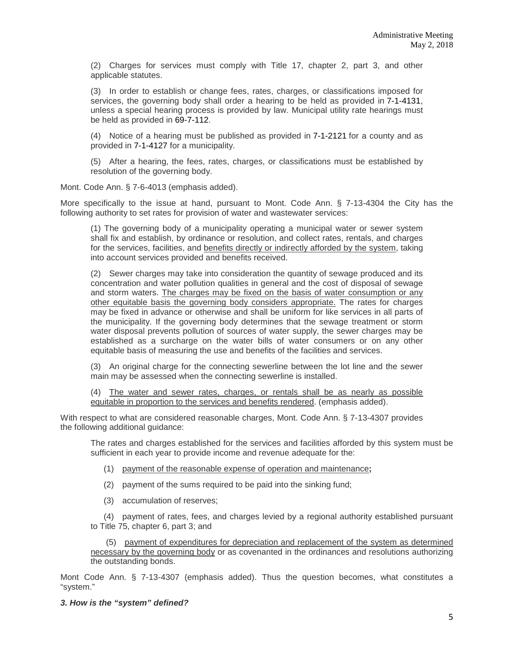(2) Charges for services must comply with Title 17, chapter 2, part 3, and other applicable statutes.

(3) In order to establish or change fees, rates, charges, or classifications imposed for services, the governing body shall order a hearing to be held as provided in [7-1-4131,](http://leg.mt.gov/bills/mca/title_0070/chapter_0010/part_0410/section_0310/0070-0010-0410-0310.html) unless a special hearing process is provided by law. Municipal utility rate hearings must be held as provided in [69-7-112.](http://leg.mt.gov/bills/mca/title_0690/chapter_0070/part_0010/section_0120/0690-0070-0010-0120.html)

(4) Notice of a hearing must be published as provided in [7-1-2121](http://leg.mt.gov/bills/mca/title_0070/chapter_0010/part_0210/section_0210/0070-0010-0210-0210.html) for a county and as provided in [7-1-4127](http://leg.mt.gov/bills/mca/title_0070/chapter_0010/part_0410/section_0270/0070-0010-0410-0270.html) for a municipality.

(5) After a hearing, the fees, rates, charges, or classifications must be established by resolution of the governing body.

Mont. Code Ann. § 7-6-4013 (emphasis added).

More specifically to the issue at hand, pursuant to Mont. Code Ann. § 7-13-4304 the City has the following authority to set rates for provision of water and wastewater services:

(1) The governing body of a municipality operating a municipal water or sewer system shall fix and establish, by ordinance or resolution, and collect rates, rentals, and charges for the services, facilities, and benefits directly or indirectly afforded by the system, taking into account services provided and benefits received.

(2) Sewer charges may take into consideration the quantity of sewage produced and its concentration and water pollution qualities in general and the cost of disposal of sewage and storm waters. The charges may be fixed on the basis of water consumption or any other equitable basis the governing body considers appropriate. The rates for charges may be fixed in advance or otherwise and shall be uniform for like services in all parts of the municipality. If the governing body determines that the sewage treatment or storm water disposal prevents pollution of sources of water supply, the sewer charges may be established as a surcharge on the water bills of water consumers or on any other equitable basis of measuring the use and benefits of the facilities and services.

(3) An original charge for the connecting sewerline between the lot line and the sewer main may be assessed when the connecting sewerline is installed.

(4) The water and sewer rates, charges, or rentals shall be as nearly as possible equitable in proportion to the services and benefits rendered. (emphasis added).

With respect to what are considered reasonable charges, Mont. Code Ann. § 7-13-4307 provides the following additional guidance:

The rates and charges established for the services and facilities afforded by this system must be sufficient in each year to provide income and revenue adequate for the:

- (1) payment of the reasonable expense of operation and maintenance**;**
- (2) payment of the sums required to be paid into the sinking fund;
- (3) accumulation of reserves;

(4) payment of rates, fees, and charges levied by a regional authority established pursuant to Title 75, chapter 6, part 3; and

(5) payment of expenditures for depreciation and replacement of the system as determined necessary by the governing body or as covenanted in the ordinances and resolutions authorizing the outstanding bonds.

Mont Code Ann. § 7-13-4307 (emphasis added). Thus the question becomes, what constitutes a "system."

#### *3. How is the "system" defined?*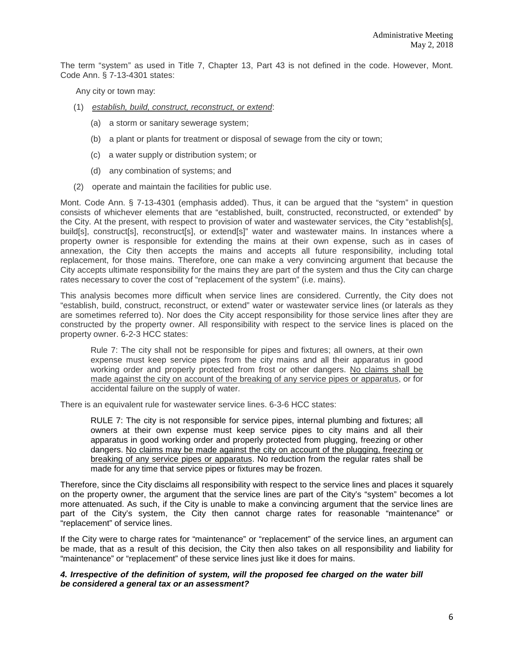The term "system" as used in Title 7, Chapter 13, Part 43 is not defined in the code. However, Mont. Code Ann. § 7-13-4301 states:

Any city or town may:

- (1) *establish, build, construct, reconstruct, or extend*:
	- (a) a storm or sanitary sewerage system;
	- (b) a plant or plants for treatment or disposal of sewage from the city or town;
	- (c) a water supply or distribution system; or
	- (d) any combination of systems; and
- (2) operate and maintain the facilities for public use.

Mont. Code Ann. § 7-13-4301 (emphasis added). Thus, it can be argued that the "system" in question consists of whichever elements that are "established, built, constructed, reconstructed, or extended" by the City. At the present, with respect to provision of water and wastewater services, the City "establish[s], build[s], construct[s], reconstruct[s], or extend[s]" water and wastewater mains. In instances where a property owner is responsible for extending the mains at their own expense, such as in cases of annexation, the City then accepts the mains and accepts all future responsibility, including total replacement, for those mains. Therefore, one can make a very convincing argument that because the City accepts ultimate responsibility for the mains they are part of the system and thus the City can charge rates necessary to cover the cost of "replacement of the system" (i.e. mains).

This analysis becomes more difficult when service lines are considered. Currently, the City does not "establish, build, construct, reconstruct, or extend" water or wastewater service lines (or laterals as they are sometimes referred to). Nor does the City accept responsibility for those service lines after they are constructed by the property owner. All responsibility with respect to the service lines is placed on the property owner. 6-2-3 HCC states:

Rule 7: The city shall not be responsible for pipes and fixtures; all owners, at their own expense must keep service pipes from the city mains and all their apparatus in good working order and properly protected from frost or other dangers. No claims shall be made against the city on account of the breaking of any service pipes or apparatus, or for accidental failure on the supply of water.

There is an equivalent rule for wastewater service lines. 6-3-6 HCC states:

RULE 7: The city is not responsible for service pipes, internal plumbing and fixtures; all owners at their own expense must keep service pipes to city mains and all their apparatus in good working order and properly protected from plugging, freezing or other dangers. No claims may be made against the city on account of the plugging, freezing or breaking of any service pipes or apparatus. No reduction from the regular rates shall be made for any time that service pipes or fixtures may be frozen.

Therefore, since the City disclaims all responsibility with respect to the service lines and places it squarely on the property owner, the argument that the service lines are part of the City's "system" becomes a lot more attenuated. As such, if the City is unable to make a convincing argument that the service lines are part of the City's system, the City then cannot charge rates for reasonable "maintenance" or "replacement" of service lines.

If the City were to charge rates for "maintenance" or "replacement" of the service lines, an argument can be made, that as a result of this decision, the City then also takes on all responsibility and liability for "maintenance" or "replacement" of these service lines just like it does for mains.

### *4. Irrespective of the definition of system, will the proposed fee charged on the water bill be considered a general tax or an assessment?*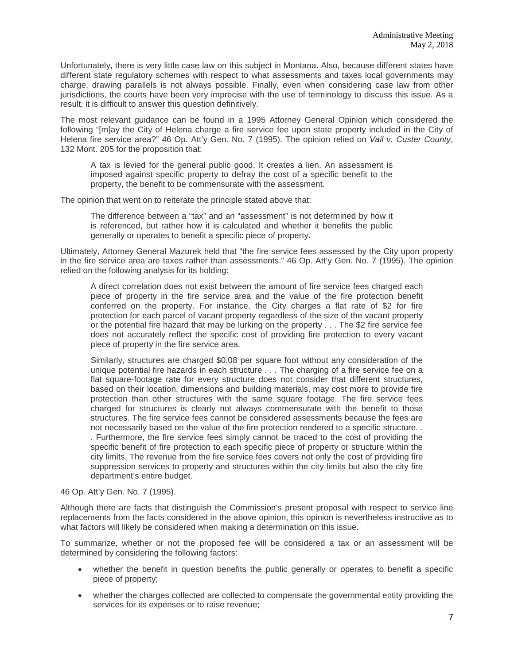Unfortunately, there is very little case law on this subject in Montana. Also, because different states have different state regulatory schemes with respect to what assessments and taxes local governments may charge, drawing parallels is not always possible. Finally, even when considering case law from other jurisdictions, the courts have been very imprecise with the use of terminology to discuss this issue. As a result, it is difficult to answer this question definitively.

The most relevant guidance can be found in a 1995 Attorney General Opinion which considered the following "[m]ay the City of Helena charge a fire service fee upon state property included in the City of Helena fire service area?" 46 Op. Att'y Gen. No. 7 (1995). The opinion relied on *Vail v. Custer County*, 132 Mont. 205 for the proposition that:

A tax is levied for the general public good. It creates a lien. An assessment is imposed against specific property to defray the cost of a specific benefit to the property, the benefit to be commensurate with the assessment.

The opinion that went on to reiterate the principle stated above that:

The difference between a "tax" and an "assessment" is not determined by how it is referenced, but rather how it is calculated and whether it benefits the public generally or operates to benefit a specific piece of property.

Ultimately, Attorney General Mazurek held that "the fire service fees assessed by the City upon property in the fire service area are taxes rather than assessments." 46 Op. Att'y Gen. No. 7 (1995). The opinion relied on the following analysis for its holding:

A direct correlation does not exist between the amount of fire service fees charged each piece of property in the fire service area and the value of the fire protection benefit conferred on the property. For instance, the City charges a flat rate of \$2 for fire protection for each parcel of vacant property regardless of the size of the vacant property or the potential fire hazard that may be lurking on the property . . . The \$2 fire service fee does not accurately reflect the specific cost of providing fire protection to every vacant piece of property in the fire service area.

Similarly, structures are charged \$0.08 per square foot without any consideration of the unique potential fire hazards in each structure . . . The charging of a fire service fee on a flat square-footage rate for every structure does not consider that different structures, based on their location, dimensions and building materials, may cost more to provide fire protection than other structures with the same square footage. The fire service fees charged for structures is clearly not always commensurate with the benefit to those structures. The fire service fees cannot be considered assessments because the fees are not necessarily based on the value of the fire protection rendered to a specific structure. . . Furthermore, the fire service fees simply cannot be traced to the cost of providing the specific benefit of fire protection to each specific piece of property or structure within the city limits. The revenue from the fire service fees covers not only the cost of providing fire suppression services to property and structures within the city limits but also the city fire department's entire budget.

## 46 Op. Att'y Gen. No. 7 (1995).

Although there are facts that distinguish the Commission's present proposal with respect to service line replacements from the facts considered in the above opinion, this opinion is nevertheless instructive as to what factors will likely be considered when making a determination on this issue.

To summarize, whether or not the proposed fee will be considered a tax or an assessment will be determined by considering the following factors:

- whether the benefit in question benefits the public generally or operates to benefit a specific piece of property;
- whether the charges collected are collected to compensate the governmental entity providing the services for its expenses or to raise revenue;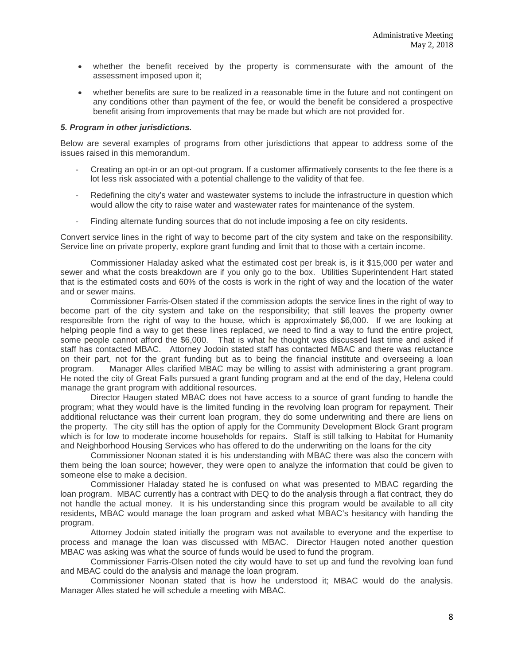- whether the benefit received by the property is commensurate with the amount of the assessment imposed upon it;
- whether benefits are sure to be realized in a reasonable time in the future and not contingent on any conditions other than payment of the fee, or would the benefit be considered a prospective benefit arising from improvements that may be made but which are not provided for.

### *5. Program in other jurisdictions.*

Below are several examples of programs from other jurisdictions that appear to address some of the issues raised in this memorandum.

- Creating an opt-in or an opt-out program. If a customer affirmatively consents to the fee there is a lot less risk associated with a potential challenge to the validity of that fee.
- Redefining the city's water and wastewater systems to include the infrastructure in question which would allow the city to raise water and wastewater rates for maintenance of the system.
- Finding alternate funding sources that do not include imposing a fee on city residents.

Convert service lines in the right of way to become part of the city system and take on the responsibility. Service line on private property, explore grant funding and limit that to those with a certain income.

Commissioner Haladay asked what the estimated cost per break is, is it \$15,000 per water and sewer and what the costs breakdown are if you only go to the box. Utilities Superintendent Hart stated that is the estimated costs and 60% of the costs is work in the right of way and the location of the water and or sewer mains.

Commissioner Farris-Olsen stated if the commission adopts the service lines in the right of way to become part of the city system and take on the responsibility; that still leaves the property owner responsible from the right of way to the house, which is approximately \$6,000. If we are looking at helping people find a way to get these lines replaced, we need to find a way to fund the entire project, some people cannot afford the \$6,000. That is what he thought was discussed last time and asked if staff has contacted MBAC. Attorney Jodoin stated staff has contacted MBAC and there was reluctance on their part, not for the grant funding but as to being the financial institute and overseeing a loan program. Manager Alles clarified MBAC may be willing to assist with administering a grant program. He noted the city of Great Falls pursued a grant funding program and at the end of the day, Helena could manage the grant program with additional resources.

Director Haugen stated MBAC does not have access to a source of grant funding to handle the program; what they would have is the limited funding in the revolving loan program for repayment. Their additional reluctance was their current loan program, they do some underwriting and there are liens on the property. The city still has the option of apply for the Community Development Block Grant program which is for low to moderate income households for repairs. Staff is still talking to Habitat for Humanity and Neighborhood Housing Services who has offered to do the underwriting on the loans for the city

Commissioner Noonan stated it is his understanding with MBAC there was also the concern with them being the loan source; however, they were open to analyze the information that could be given to someone else to make a decision.

Commissioner Haladay stated he is confused on what was presented to MBAC regarding the loan program. MBAC currently has a contract with DEQ to do the analysis through a flat contract, they do not handle the actual money. It is his understanding since this program would be available to all city residents, MBAC would manage the loan program and asked what MBAC's hesitancy with handing the program.

Attorney Jodoin stated initially the program was not available to everyone and the expertise to process and manage the loan was discussed with MBAC. Director Haugen noted another question MBAC was asking was what the source of funds would be used to fund the program.

Commissioner Farris-Olsen noted the city would have to set up and fund the revolving loan fund and MBAC could do the analysis and manage the loan program.

Commissioner Noonan stated that is how he understood it; MBAC would do the analysis. Manager Alles stated he will schedule a meeting with MBAC.